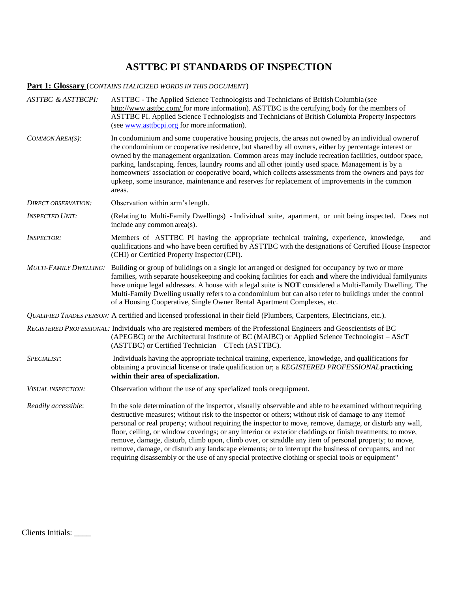## **ASTTBC PI STANDARDS OF INSPECTION**

## **Part 1: Glossary** (*CONTAINS ITALICIZED WORDS IN THIS DOCUMENT*)

| <b>ASTTBC &amp; ASTTBCPI:</b> | ASTTBC - The Applied Science Technologists and Technicians of British Columbia (see<br>http://www.asttbc.com/ for more information). ASTTBC is the certifying body for the members of<br>ASTTBC PI. Applied Science Technologists and Technicians of British Columbia Property Inspectors<br>(see www.asttbcpi.org for more information).                                                                                                                                                                                                                                                                                                                                                                                                                        |
|-------------------------------|------------------------------------------------------------------------------------------------------------------------------------------------------------------------------------------------------------------------------------------------------------------------------------------------------------------------------------------------------------------------------------------------------------------------------------------------------------------------------------------------------------------------------------------------------------------------------------------------------------------------------------------------------------------------------------------------------------------------------------------------------------------|
| COMMON AREA(S):               | In condominium and some cooperative housing projects, the areas not owned by an individual owner of<br>the condominium or cooperative residence, but shared by all owners, either by percentage interest or<br>owned by the management organization. Common areas may include recreation facilities, outdoor space,<br>parking, landscaping, fences, laundry rooms and all other jointly used space. Management is by a<br>homeowners' association or cooperative board, which collects assessments from the owners and pays for<br>upkeep, some insurance, maintenance and reserves for replacement of improvements in the common<br>areas.                                                                                                                     |
| DIRECT OBSERVATION:           | Observation within arm's length.                                                                                                                                                                                                                                                                                                                                                                                                                                                                                                                                                                                                                                                                                                                                 |
| <b>INSPECTED UNIT:</b>        | (Relating to Multi-Family Dwellings) - Individual suite, apartment, or unit being inspected. Does not<br>include any common area(s).                                                                                                                                                                                                                                                                                                                                                                                                                                                                                                                                                                                                                             |
| <i><b>INSPECTOR:</b></i>      | Members of ASTTBC PI having the appropriate technical training, experience, knowledge,<br>and<br>qualifications and who have been certified by ASTTBC with the designations of Certified House Inspector<br>(CHI) or Certified Property Inspector (CPI).                                                                                                                                                                                                                                                                                                                                                                                                                                                                                                         |
|                               | MULTI-FAMILY DWELLING: Building or group of buildings on a single lot arranged or designed for occupancy by two or more<br>families, with separate housekeeping and cooking facilities for each and where the individual familyunits<br>have unique legal addresses. A house with a legal suite is <b>NOT</b> considered a Multi-Family Dwelling. The<br>Multi-Family Dwelling usually refers to a condominium but can also refer to buildings under the control<br>of a Housing Cooperative, Single Owner Rental Apartment Complexes, etc.                                                                                                                                                                                                                      |
|                               | QUALIFIED TRADES PERSON: A certified and licensed professional in their field (Plumbers, Carpenters, Electricians, etc.).                                                                                                                                                                                                                                                                                                                                                                                                                                                                                                                                                                                                                                        |
|                               | REGISTERED PROFESSIONAL: Individuals who are registered members of the Professional Engineers and Geoscientists of BC<br>(APEGBC) or the Architectural Institute of BC (MAIBC) or Applied Science Technologist – AScT<br>(ASTTBC) or Certified Technician – CTech (ASTTBC).                                                                                                                                                                                                                                                                                                                                                                                                                                                                                      |
| SPECIALIST:                   | Individuals having the appropriate technical training, experience, knowledge, and qualifications for<br>obtaining a provincial license or trade qualification or; a REGISTERED PROFESSIONAL practicing<br>within their area of specialization.                                                                                                                                                                                                                                                                                                                                                                                                                                                                                                                   |
| <b>VISUAL INSPECTION:</b>     | Observation without the use of any specialized tools or equipment.                                                                                                                                                                                                                                                                                                                                                                                                                                                                                                                                                                                                                                                                                               |
| Readily accessible:           | In the sole determination of the inspector, visually observable and able to be examined without requiring<br>destructive measures; without risk to the inspector or others; without risk of damage to any itemof<br>personal or real property; without requiring the inspector to move, remove, damage, or disturb any wall,<br>floor, ceiling, or window coverings; or any interior or exterior claddings or finish treatments; to move,<br>remove, damage, disturb, climb upon, climb over, or straddle any item of personal property; to move,<br>remove, damage, or disturb any landscape elements; or to interrupt the business of occupants, and not<br>requiring disassembly or the use of any special protective clothing or special tools or equipment" |

Clients Initials: \_\_\_\_\_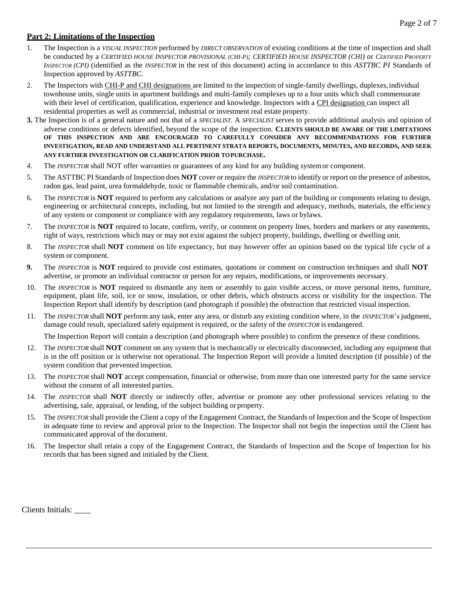## **Part 2: Limitations of the Inspection**

- 1. The Inspection is a *VISUAL INSPECTION* performed by *DIRECT OBSERVATION* of existing conditions at the time of inspection and shall be conducted by a *CERTIFIED HOUSE INSPECTOR PROVISIONAL (CHI-P); CERTIFIED HOUSE INSPECTOR (CHI)* or *CERTIFIED PROPERTY INSPECTOR (CPI)* (identified as the *INSPECTOR* in the rest of this document) acting in accordance to this *ASTTBC PI* Standards of Inspection approved by *ASTTBC*.
- 2. The Inspectors with CHI-P and CHI designations are limited to the inspection of single-family dwellings, duplexes, individual townhouse units, single units in apartment buildings and multi-family complexes up to a four units which shall commensurate with their level of certification, qualification, experience and knowledge. Inspectors with a CPI designation can inspect all residential properties as well as commercial, industrial or investment real estate property.
- **3.** The Inspection is of a general nature and not that of a *SPECIALIST*. A *SPECIALIST* serves to provide additional analysis and opinion of adverse conditions or defects identified, beyond the scope of the inspection. **CLIENTS SHOULD BE AWARE OF THE LIMITATIONS OF THIS INSPECTION AND ARE ENCOURAGED TO CAREFULLY CONSIDER ANY RECOMMENDATIONS FOR FURTHER**  INVESTIGATION, READ AND UNDERSTAND ALL PERTINENT STRATA REPORTS, DOCUMENTS, MINUTES, AND RECORDS, AND SEEK **ANY FURTHER INVESTIGATION OR CLARIFICATION PRIOR TOPURCHASE.**
- *4.* The *INSPECTOR* shall NOT offer warranties or guarantees of any kind for any building systemor component*.*
- 5. The ASTTBC PI Standards of Inspection does **NOT** cover or require the *INSPECTOR* to identify or report on the presence of asbestos, radon gas, lead paint, urea formaldehyde, toxic or flammable chemicals, and/or soil contamination.
- 6. The *INSPECTOR* is **NOT** required to perform any calculations or analyze any part of the building or components relating to design, engineering or architectural concepts, including, but not limited to the strength and adequacy, methods, materials, the efficiency of any system or component or compliance with any regulatory requirements, laws or bylaws.
- 7. The *INSPECTOR* is **NOT** required to locate, confirm, verify, or comment on property lines, borders and markers or any easements, right of ways, restrictions which may or may not exist against the subject property, buildings, dwelling or dwelling unit.
- 8. The *INSPECTOR* shall **NOT** comment on life expectancy, but may however offer an opinion based on the typical life cycle of a system or component.
- **9.** The *INSPECTOR* is **NOT** required to provide cost estimates, quotations or comment on construction techniques and shall **NOT** advertise, or promote an individual contractor or person for any repairs, modifications, or improvements necessary.
- 10. The *INSPECTOR* is **NOT** required to dismantle any item or assembly to gain visible access, or move personal items, furniture, equipment, plant life, soil, ice or snow, insulation, or other debris, which obstructs access or visibility for the inspection. The Inspection Report shall identify by description (and photograph if possible) the obstruction that restricted visual inspection.
- 11. The *INSPECTOR* shall **NOT** perform any task, enter any area, or disturb any existing condition where, in the *INSPECTOR*'s judgment, damage could result, specialized safety equipment is required, or the safety of the *INSPECTOR* is endangered.

The Inspection Report will contain a description (and photograph where possible) to confirm the presence of these conditions.

- 12. The *INSPECTOR* shall **NOT** comment on any system that is mechanically or electrically disconnected, including any equipment that is in the off position or is otherwise not operational. The Inspection Report will provide a limited description (if possible) of the system condition that prevented inspection.
- 13. The *INSPECTOR* shall **NOT** accept compensation, financial or otherwise, from more than one interested party for the same service without the consent of all interested parties.
- 14. The *INSPECTOR* shall **NOT** directly or indirectly offer, advertise or promote any other professional services relating to the advertising, sale, appraisal, or lending, of the subject building or property.
- 15. The *INSPECTOR* shall provide the Client a copy of the Engagement Contract, the Standards of Inspection and the Scope of Inspection in adequate time to review and approval prior to the Inspection. The Inspector shall not begin the inspection until the Client has communicated approval of the document.
- 16. The Inspector shall retain a copy of the Engagement Contract, the Standards of Inspection and the Scope of Inspection for his records that has been signed and initialed by the Client.

Clients Initials: \_\_\_\_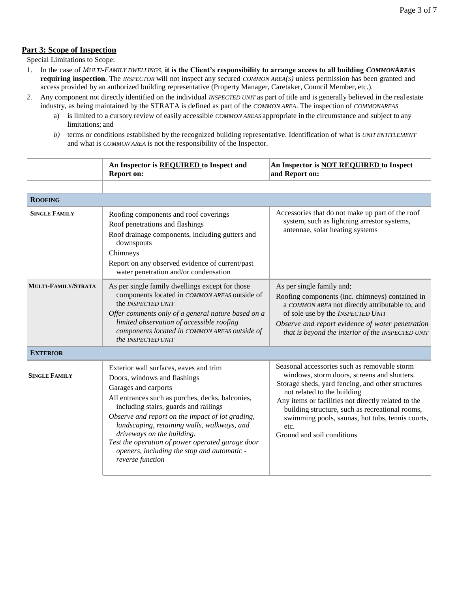## **Part 3: Scope of Inspection**

Special Limitations to Scope:

- 1. In the case of *MULTI-FAMILY DWELLINGS*, **it is the Client's responsibility to arrange access to all building** *COMMONAREAS*  **requiring inspection**. The *INSPECTOR* will not inspect any secured *COMMON AREA(S)* unless permission has been granted and access provided by an authorized building representative (Property Manager, Caretaker, Council Member, etc.).
- *2.* Any component not directly identified on the individual *INSPECTED UNIT* as part of title and is generally believed in the real estate industry, as being maintained by the STRATA is defined as part of the *COMMON AREA*. The inspection of *COMMONAREAS*
	- a) is limited to a cursory review of easily accessible *COMMON AREAS* appropriate in the circumstance and subject to any limitations; and
	- *b)* terms or conditions established by the recognized building representative. Identification of what is *UNIT ENTITLEMENT* and what is *COMMON AREA* is not the responsibility of the Inspector.

|                      | An Inspector is REQUIRED to Inspect and<br><b>Report on:</b>                                                                                                                                                                                                                                                                                                                                                                                        | An Inspector is <b>NOT REQUIRED</b> to Inspect<br>and Report on:                                                                                                                                                                                                                                                                                                                    |  |  |
|----------------------|-----------------------------------------------------------------------------------------------------------------------------------------------------------------------------------------------------------------------------------------------------------------------------------------------------------------------------------------------------------------------------------------------------------------------------------------------------|-------------------------------------------------------------------------------------------------------------------------------------------------------------------------------------------------------------------------------------------------------------------------------------------------------------------------------------------------------------------------------------|--|--|
|                      |                                                                                                                                                                                                                                                                                                                                                                                                                                                     |                                                                                                                                                                                                                                                                                                                                                                                     |  |  |
| <b>ROOFING</b>       |                                                                                                                                                                                                                                                                                                                                                                                                                                                     |                                                                                                                                                                                                                                                                                                                                                                                     |  |  |
| <b>SINGLE FAMILY</b> | Roofing components and roof coverings<br>Roof penetrations and flashings<br>Roof drainage components, including gutters and<br>downspouts<br>Chimneys<br>Report on any observed evidence of current/past<br>water penetration and/or condensation                                                                                                                                                                                                   | Accessories that do not make up part of the roof<br>system, such as lightning arrestor systems,<br>antennae, solar heating systems                                                                                                                                                                                                                                                  |  |  |
| MULTI-FAMILY/STRATA  | As per single family dwellings except for those<br>components located in COMMON AREAS outside of<br>the <i>INSPECTED UNIT</i><br>Offer comments only of a general nature based on a<br>limited observation of accessible roofing<br>components located in COMMON AREAS outside of<br>the INSPECTED UNIT                                                                                                                                             | As per single family and;<br>Roofing components (inc. chimneys) contained in<br>a COMMON AREA not directly attributable to, and<br>of sole use by the INSPECTED UNIT<br>Observe and report evidence of water penetration<br>that is beyond the interior of the INSPECTED UNIT                                                                                                       |  |  |
| <b>EXTERIOR</b>      |                                                                                                                                                                                                                                                                                                                                                                                                                                                     |                                                                                                                                                                                                                                                                                                                                                                                     |  |  |
| <b>SINGLE FAMILY</b> | Exterior wall surfaces, eaves and trim<br>Doors, windows and flashings<br>Garages and carports<br>All entrances such as porches, decks, balconies,<br>including stairs, guards and railings<br>Observe and report on the impact of lot grading,<br>landscaping, retaining walls, walkways, and<br>driveways on the building.<br>Test the operation of power operated garage door<br>openers, including the stop and automatic -<br>reverse function | Seasonal accessories such as removable storm<br>windows, storm doors, screens and shutters.<br>Storage sheds, yard fencing, and other structures<br>not related to the building<br>Any items or facilities not directly related to the<br>building structure, such as recreational rooms,<br>swimming pools, saunas, hot tubs, tennis courts,<br>etc.<br>Ground and soil conditions |  |  |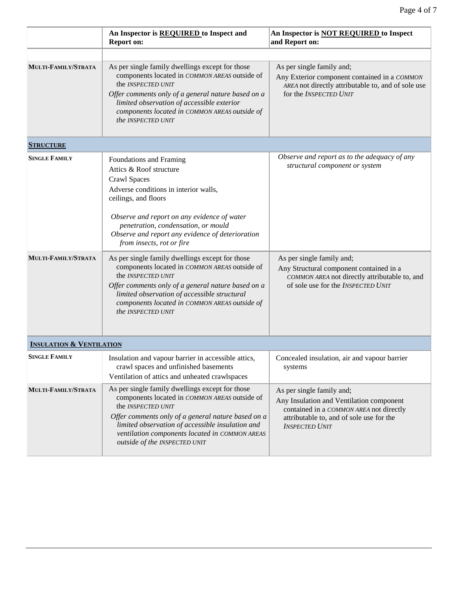|                                     | An Inspector is REQUIRED to Inspect and<br><b>Report on:</b>                                                                                                                                                                                                                                                        | An Inspector is <b>NOT REQUIRED</b> to Inspect<br>and Report on:                                                                                                                      |
|-------------------------------------|---------------------------------------------------------------------------------------------------------------------------------------------------------------------------------------------------------------------------------------------------------------------------------------------------------------------|---------------------------------------------------------------------------------------------------------------------------------------------------------------------------------------|
|                                     |                                                                                                                                                                                                                                                                                                                     |                                                                                                                                                                                       |
| MULTI-FAMILY/STRATA                 | As per single family dwellings except for those<br>components located in COMMON AREAS outside of<br>the INSPECTED UNIT<br>Offer comments only of a general nature based on a<br>limited observation of accessible exterior<br>components located in COMMON AREAS outside of<br>the INSPECTED UNIT                   | As per single family and;<br>Any Exterior component contained in a COMMON<br>AREA not directly attributable to, and of sole use<br>for the INSPECTED UNIT                             |
| <b>STRUCTURE</b>                    |                                                                                                                                                                                                                                                                                                                     |                                                                                                                                                                                       |
| <b>SINGLE FAMILY</b>                | Foundations and Framing<br>Attics & Roof structure<br>Crawl Spaces<br>Adverse conditions in interior walls,<br>ceilings, and floors<br>Observe and report on any evidence of water<br>penetration, condensation, or mould<br>Observe and report any evidence of deterioration<br>from insects, rot or fire          | Observe and report as to the adequacy of any<br>structural component or system                                                                                                        |
| MULTI-FAMILY/STRATA                 | As per single family dwellings except for those<br>components located in COMMON AREAS outside of<br>the <i>INSPECTED UNIT</i><br>Offer comments only of a general nature based on a<br>limited observation of accessible structural<br>components located in COMMON AREAS outside of<br>the INSPECTED UNIT          | As per single family and;<br>Any Structural component contained in a<br>COMMON AREA not directly attributable to, and<br>of sole use for the INSPECTED UNIT                           |
| <b>INSULATION &amp; VENTILATION</b> |                                                                                                                                                                                                                                                                                                                     |                                                                                                                                                                                       |
| <b>SINGLE FAMILY</b>                | Insulation and vapour barrier in accessible attics,<br>crawl spaces and unfinished basements<br>Ventilation of attics and unheated crawlspaces                                                                                                                                                                      | Concealed insulation, air and vapour barrier<br>systems                                                                                                                               |
| MULTI-FAMILY/STRATA                 | As per single family dwellings except for those<br>components located in COMMON AREAS outside of<br>the INSPECTED UNIT<br>Offer comments only of a general nature based on a<br>limited observation of accessible insulation and<br>ventilation components located in COMMON AREAS<br>outside of the INSPECTED UNIT | As per single family and;<br>Any Insulation and Ventilation component<br>contained in a COMMON AREA not directly<br>attributable to, and of sole use for the<br><b>INSPECTED UNIT</b> |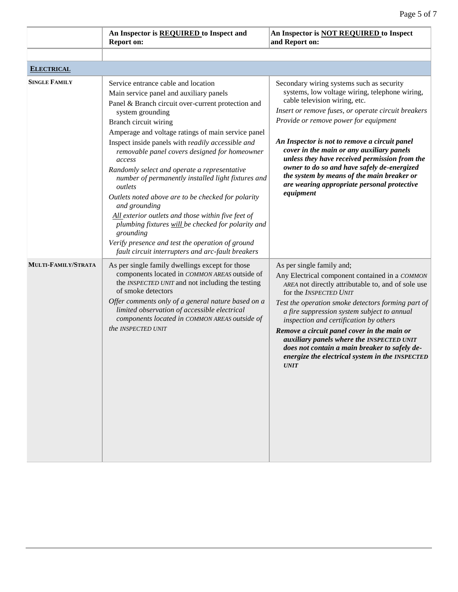|                      | An Inspector is REQUIRED to Inspect and<br><b>Report on:</b>                                                                                                                                                                                                                                                                                                                                                                                                                                                                                                                                                                                                                                                                                                                      | An Inspector is <b>NOT REQUIRED</b> to Inspect<br>and Report on:                                                                                                                                                                                                                                                                                                                                                                                                                                                                     |
|----------------------|-----------------------------------------------------------------------------------------------------------------------------------------------------------------------------------------------------------------------------------------------------------------------------------------------------------------------------------------------------------------------------------------------------------------------------------------------------------------------------------------------------------------------------------------------------------------------------------------------------------------------------------------------------------------------------------------------------------------------------------------------------------------------------------|--------------------------------------------------------------------------------------------------------------------------------------------------------------------------------------------------------------------------------------------------------------------------------------------------------------------------------------------------------------------------------------------------------------------------------------------------------------------------------------------------------------------------------------|
|                      |                                                                                                                                                                                                                                                                                                                                                                                                                                                                                                                                                                                                                                                                                                                                                                                   |                                                                                                                                                                                                                                                                                                                                                                                                                                                                                                                                      |
| <b>ELECTRICAL</b>    |                                                                                                                                                                                                                                                                                                                                                                                                                                                                                                                                                                                                                                                                                                                                                                                   |                                                                                                                                                                                                                                                                                                                                                                                                                                                                                                                                      |
| <b>SINGLE FAMILY</b> | Service entrance cable and location<br>Main service panel and auxiliary panels<br>Panel & Branch circuit over-current protection and<br>system grounding<br>Branch circuit wiring<br>Amperage and voltage ratings of main service panel<br>Inspect inside panels with readily accessible and<br>removable panel covers designed for homeowner<br>access<br>Randomly select and operate a representative<br>number of permanently installed light fixtures and<br>outlets<br>Outlets noted above are to be checked for polarity<br>and grounding<br>All exterior outlets and those within five feet of<br>plumbing fixtures will be checked for polarity and<br>grounding<br>Verify presence and test the operation of ground<br>fault circuit interrupters and arc-fault breakers | Secondary wiring systems such as security<br>systems, low voltage wiring, telephone wiring,<br>cable television wiring, etc.<br>Insert or remove fuses, or operate circuit breakers<br>Provide or remove power for equipment<br>An Inspector is not to remove a circuit panel<br>cover in the main or any auxiliary panels<br>unless they have received permission from the<br>owner to do so and have safely de-energized<br>the system by means of the main breaker or<br>are wearing appropriate personal protective<br>equipment |
| MULTI-FAMILY/STRATA  | As per single family dwellings except for those<br>components located in COMMON AREAS outside of<br>the INSPECTED UNIT and not including the testing<br>of smoke detectors<br>Offer comments only of a general nature based on a<br>limited observation of accessible electrical<br>components located in COMMON AREAS outside of<br>the INSPECTED UNIT                                                                                                                                                                                                                                                                                                                                                                                                                           | As per single family and;<br>Any Electrical component contained in a COMMON<br>AREA not directly attributable to, and of sole use<br>for the INSPECTED UNIT<br>Test the operation smoke detectors forming part of<br>a fire suppression system subject to annual<br>inspection and certification by others<br>Remove a circuit panel cover in the main or<br>auxiliary panels where the INSPECTED UNIT<br>does not contain a main breaker to safely de-<br>energize the electrical system in the INSPECTED<br><b>UNIT</b>            |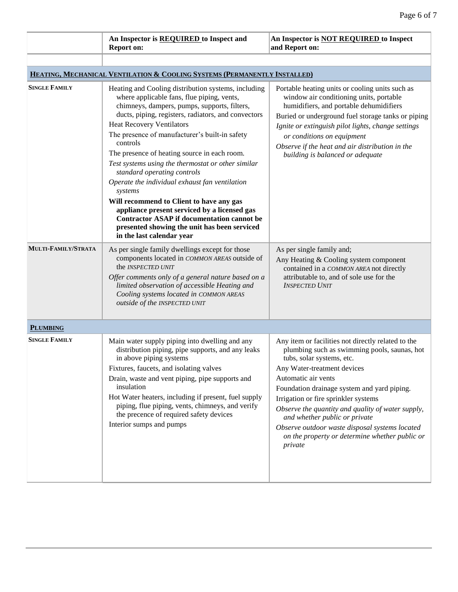|                      | An Inspector is REQUIRED to Inspect and<br><b>Report on:</b>                                                                                                                                                                                                                                                                                                                                                                                                                                                                                                                                                                                                                                                                               | An Inspector is <b>NOT REQUIRED</b> to Inspect<br>and Report on:                                                                                                                                                                                                                                                                                                                                                                                                                  |
|----------------------|--------------------------------------------------------------------------------------------------------------------------------------------------------------------------------------------------------------------------------------------------------------------------------------------------------------------------------------------------------------------------------------------------------------------------------------------------------------------------------------------------------------------------------------------------------------------------------------------------------------------------------------------------------------------------------------------------------------------------------------------|-----------------------------------------------------------------------------------------------------------------------------------------------------------------------------------------------------------------------------------------------------------------------------------------------------------------------------------------------------------------------------------------------------------------------------------------------------------------------------------|
|                      |                                                                                                                                                                                                                                                                                                                                                                                                                                                                                                                                                                                                                                                                                                                                            |                                                                                                                                                                                                                                                                                                                                                                                                                                                                                   |
|                      | HEATING, MECHANICAL VENTILATION & COOLING SYSTEMS (PERMANENTLY INSTALLED)                                                                                                                                                                                                                                                                                                                                                                                                                                                                                                                                                                                                                                                                  |                                                                                                                                                                                                                                                                                                                                                                                                                                                                                   |
| <b>SINGLE FAMILY</b> | Heating and Cooling distribution systems, including<br>where applicable fans, flue piping, vents,<br>chimneys, dampers, pumps, supports, filters,<br>ducts, piping, registers, radiators, and convectors<br><b>Heat Recovery Ventilators</b><br>The presence of manufacturer's built-in safety<br>controls<br>The presence of heating source in each room.<br>Test systems using the thermostat or other similar<br>standard operating controls<br>Operate the individual exhaust fan ventilation<br>systems<br>Will recommend to Client to have any gas<br>appliance present serviced by a licensed gas<br><b>Contractor ASAP if documentation cannot be</b><br>presented showing the unit has been serviced<br>in the last calendar year | Portable heating units or cooling units such as<br>window air conditioning units, portable<br>humidifiers, and portable dehumidifiers<br>Buried or underground fuel storage tanks or piping<br>Ignite or extinguish pilot lights, change settings<br>or conditions on equipment<br>Observe if the heat and air distribution in the<br>building is balanced or adequate                                                                                                            |
| MULTI-FAMILY/STRATA  | As per single family dwellings except for those<br>components located in COMMON AREAS outside of<br>the INSPECTED UNIT<br>Offer comments only of a general nature based on a<br>limited observation of accessible Heating and<br>Cooling systems located in COMMON AREAS<br>outside of the INSPECTED UNIT                                                                                                                                                                                                                                                                                                                                                                                                                                  | As per single family and;<br>Any Heating & Cooling system component<br>contained in a COMMON AREA not directly<br>attributable to, and of sole use for the<br><b>INSPECTED UNIT</b>                                                                                                                                                                                                                                                                                               |
| <b>PLUMBING</b>      |                                                                                                                                                                                                                                                                                                                                                                                                                                                                                                                                                                                                                                                                                                                                            |                                                                                                                                                                                                                                                                                                                                                                                                                                                                                   |
| <b>SINGLE FAMILY</b> | Main water supply piping into dwelling and any<br>distribution piping, pipe supports, and any leaks<br>in above piping systems<br>Fixtures, faucets, and isolating valves<br>Drain, waste and vent piping, pipe supports and<br>insulation<br>Hot Water heaters, including if present, fuel supply<br>piping, flue piping, vents, chimneys, and verify<br>the precence of required safety devices<br>Interior sumps and pumps                                                                                                                                                                                                                                                                                                              | Any item or facilities not directly related to the<br>plumbing such as swimming pools, saunas, hot<br>tubs, solar systems, etc.<br>Any Water-treatment devices<br>Automatic air vents<br>Foundation drainage system and yard piping.<br>Irrigation or fire sprinkler systems<br>Observe the quantity and quality of water supply,<br>and whether public or private<br>Observe outdoor waste disposal systems located<br>on the property or determine whether public or<br>private |